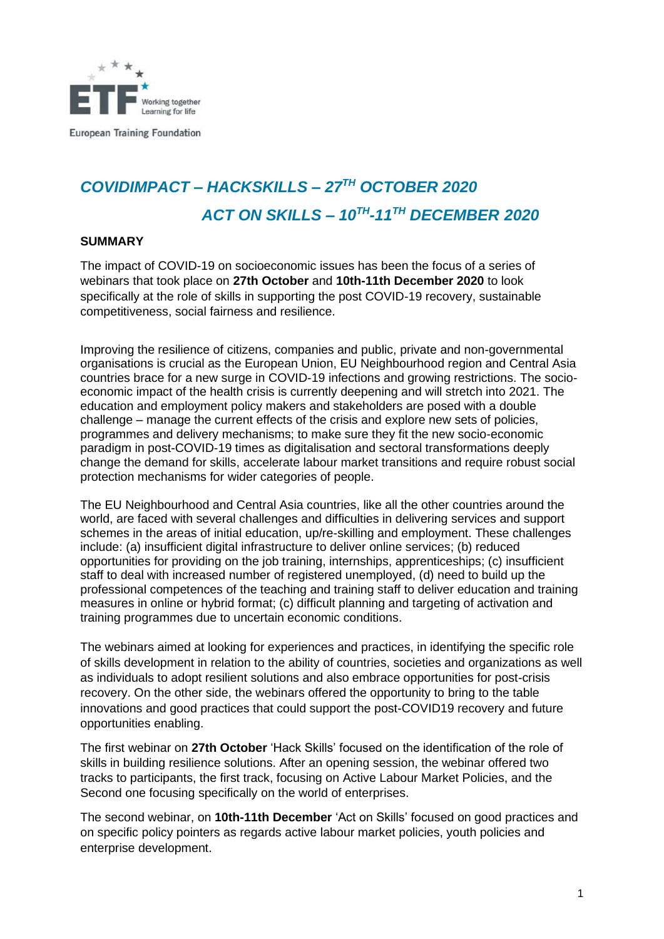

# *COVIDIMPACT – HACKSKILLS – 27TH OCTOBER 2020 ACT ON SKILLS – 10TH -11TH DECEMBER 2020*

## **SUMMARY**

The impact of COVID-19 on socioeconomic issues has been the focus of a series of webinars that took place on **27th October** and **10th-11th December 2020** to look specifically at the role of skills in supporting the post COVID-19 recovery, sustainable competitiveness, social fairness and resilience.

Improving the resilience of citizens, companies and public, private and non-governmental organisations is crucial as the European Union, EU Neighbourhood region and Central Asia countries brace for a new surge in COVID-19 infections and growing restrictions. The socioeconomic impact of the health crisis is currently deepening and will stretch into 2021. The education and employment policy makers and stakeholders are posed with a double challenge – manage the current effects of the crisis and explore new sets of policies, programmes and delivery mechanisms; to make sure they fit the new socio-economic paradigm in post-COVID-19 times as digitalisation and sectoral transformations deeply change the demand for skills, accelerate labour market transitions and require robust social protection mechanisms for wider categories of people.

The EU Neighbourhood and Central Asia countries, like all the other countries around the world, are faced with several challenges and difficulties in delivering services and support schemes in the areas of initial education, up/re-skilling and employment. These challenges include: (a) insufficient digital infrastructure to deliver online services; (b) reduced opportunities for providing on the job training, internships, apprenticeships; (c) insufficient staff to deal with increased number of registered unemployed, (d) need to build up the professional competences of the teaching and training staff to deliver education and training measures in online or hybrid format; (c) difficult planning and targeting of activation and training programmes due to uncertain economic conditions.

The webinars aimed at looking for experiences and practices, in identifying the specific role of skills development in relation to the ability of countries, societies and organizations as well as individuals to adopt resilient solutions and also embrace opportunities for post-crisis recovery. On the other side, the webinars offered the opportunity to bring to the table innovations and good practices that could support the post-COVID19 recovery and future opportunities enabling.

The first webinar on **27th October** 'Hack Skills' focused on the identification of the role of skills in building resilience solutions. After an opening session, the webinar offered two tracks to participants, the first track, focusing on Active Labour Market Policies, and the Second one focusing specifically on the world of enterprises.

The second webinar, on **10th-11th December** 'Act on Skills' focused on good practices and on specific policy pointers as regards active labour market policies, youth policies and enterprise development.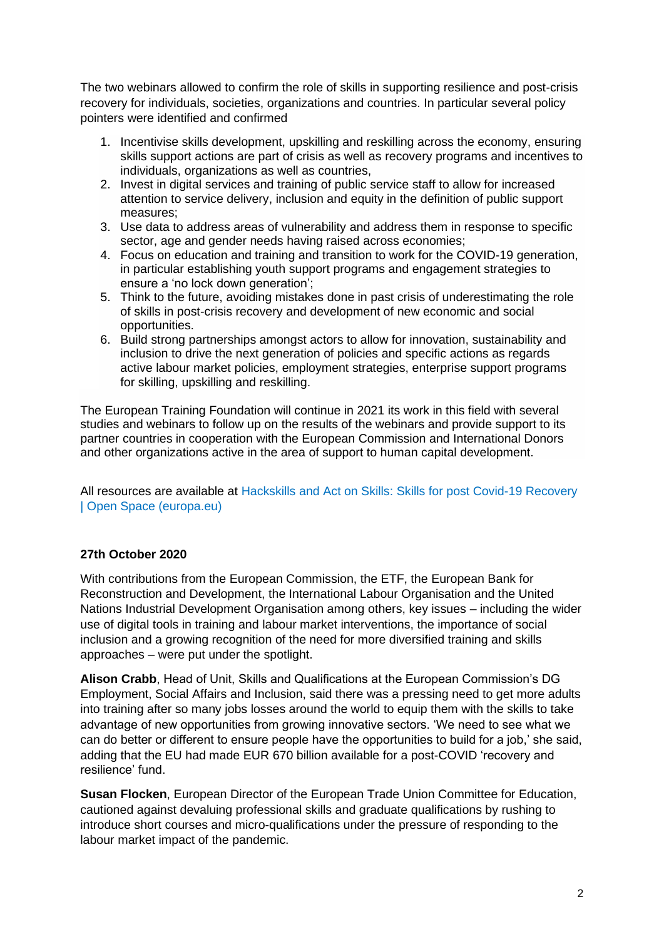The two webinars allowed to confirm the role of skills in supporting resilience and post-crisis recovery for individuals, societies, organizations and countries. In particular several policy pointers were identified and confirmed

- 1. Incentivise skills development, upskilling and reskilling across the economy, ensuring skills support actions are part of crisis as well as recovery programs and incentives to individuals, organizations as well as countries,
- 2. Invest in digital services and training of public service staff to allow for increased attention to service delivery, inclusion and equity in the definition of public support measures;
- 3. Use data to address areas of vulnerability and address them in response to specific sector, age and gender needs having raised across economies;
- 4. Focus on education and training and transition to work for the COVID-19 generation, in particular establishing youth support programs and engagement strategies to ensure a 'no lock down generation';
- 5. Think to the future, avoiding mistakes done in past crisis of underestimating the role of skills in post-crisis recovery and development of new economic and social opportunities.
- 6. Build strong partnerships amongst actors to allow for innovation, sustainability and inclusion to drive the next generation of policies and specific actions as regards active labour market policies, employment strategies, enterprise support programs for skilling, upskilling and reskilling.

The European Training Foundation will continue in 2021 its work in this field with several studies and webinars to follow up on the results of the webinars and provide support to its partner countries in cooperation with the European Commission and International Donors and other organizations active in the area of support to human capital development.

All resources are available at [Hackskills and Act on Skills: Skills for post Covid-19 Recovery](https://openspace.etf.europa.eu/resources/hackskills-and-act-skills-skills-post-covid-19-recovery)  [| Open Space \(europa.eu\)](https://openspace.etf.europa.eu/resources/hackskills-and-act-skills-skills-post-covid-19-recovery)

## **27th October 2020**

With contributions from the European Commission, the ETF, the European Bank for Reconstruction and Development, the International Labour Organisation and the United Nations Industrial Development Organisation among others, key issues – including the wider use of digital tools in training and labour market interventions, the importance of social inclusion and a growing recognition of the need for more diversified training and skills approaches – were put under the spotlight.

**Alison Crabb**, Head of Unit, Skills and Qualifications at the European Commission's DG Employment, Social Affairs and Inclusion, said there was a pressing need to get more adults into training after so many jobs losses around the world to equip them with the skills to take advantage of new opportunities from growing innovative sectors. 'We need to see what we can do better or different to ensure people have the opportunities to build for a job,' she said, adding that the EU had made EUR 670 billion available for a post-COVID 'recovery and resilience' fund.

**Susan Flocken**, European Director of the European Trade Union Committee for Education, cautioned against devaluing professional skills and graduate qualifications by rushing to introduce short courses and micro-qualifications under the pressure of responding to the labour market impact of the pandemic.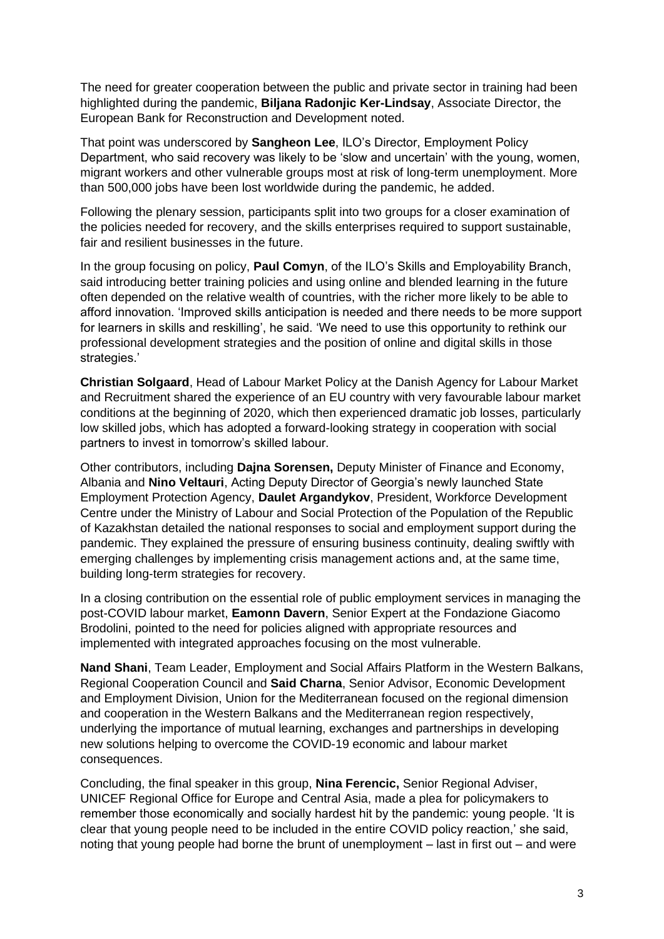The need for greater cooperation between the public and private sector in training had been highlighted during the pandemic, **Biljana Radonjic Ker-Lindsay**, Associate Director, the European Bank for Reconstruction and Development noted.

That point was underscored by **Sangheon Lee**, ILO's Director, Employment Policy Department, who said recovery was likely to be 'slow and uncertain' with the young, women, migrant workers and other vulnerable groups most at risk of long-term unemployment. More than 500,000 jobs have been lost worldwide during the pandemic, he added.

Following the plenary session, participants split into two groups for a closer examination of the policies needed for recovery, and the skills enterprises required to support sustainable, fair and resilient businesses in the future.

In the group focusing on policy, **Paul Comyn**, of the ILO's Skills and Employability Branch, said introducing better training policies and using online and blended learning in the future often depended on the relative wealth of countries, with the richer more likely to be able to afford innovation. 'Improved skills anticipation is needed and there needs to be more support for learners in skills and reskilling', he said. 'We need to use this opportunity to rethink our professional development strategies and the position of online and digital skills in those strategies.'

**Christian Solgaard**, Head of Labour Market Policy at the Danish Agency for Labour Market and Recruitment shared the experience of an EU country with very favourable labour market conditions at the beginning of 2020, which then experienced dramatic job losses, particularly low skilled jobs, which has adopted a forward-looking strategy in cooperation with social partners to invest in tomorrow's skilled labour.

Other contributors, including **Dajna Sorensen,** Deputy Minister of Finance and Economy, Albania and **Nino Veltauri**, Acting Deputy Director of Georgia's newly launched State Employment Protection Agency, **Daulet Argandykov**, President, Workforce Development Centre under the Ministry of Labour and Social Protection of the Population of the Republic of Kazakhstan detailed the national responses to social and employment support during the pandemic. They explained the pressure of ensuring business continuity, dealing swiftly with emerging challenges by implementing crisis management actions and, at the same time, building long-term strategies for recovery.

In a closing contribution on the essential role of public employment services in managing the post-COVID labour market, **Eamonn Davern**, Senior Expert at the Fondazione Giacomo Brodolini, pointed to the need for policies aligned with appropriate resources and implemented with integrated approaches focusing on the most vulnerable.

**Nand Shani**, Team Leader, Employment and Social Affairs Platform in the Western Balkans, Regional Cooperation Council and **Said Charna**, Senior Advisor, Economic Development and Employment Division, Union for the Mediterranean focused on the regional dimension and cooperation in the Western Balkans and the Mediterranean region respectively, underlying the importance of mutual learning, exchanges and partnerships in developing new solutions helping to overcome the COVID-19 economic and labour market consequences.

Concluding, the final speaker in this group, **Nina Ferencic,** Senior Regional Adviser, UNICEF Regional Office for Europe and Central Asia, made a plea for policymakers to remember those economically and socially hardest hit by the pandemic: young people. 'It is clear that young people need to be included in the entire COVID policy reaction,' she said, noting that young people had borne the brunt of unemployment – last in first out – and were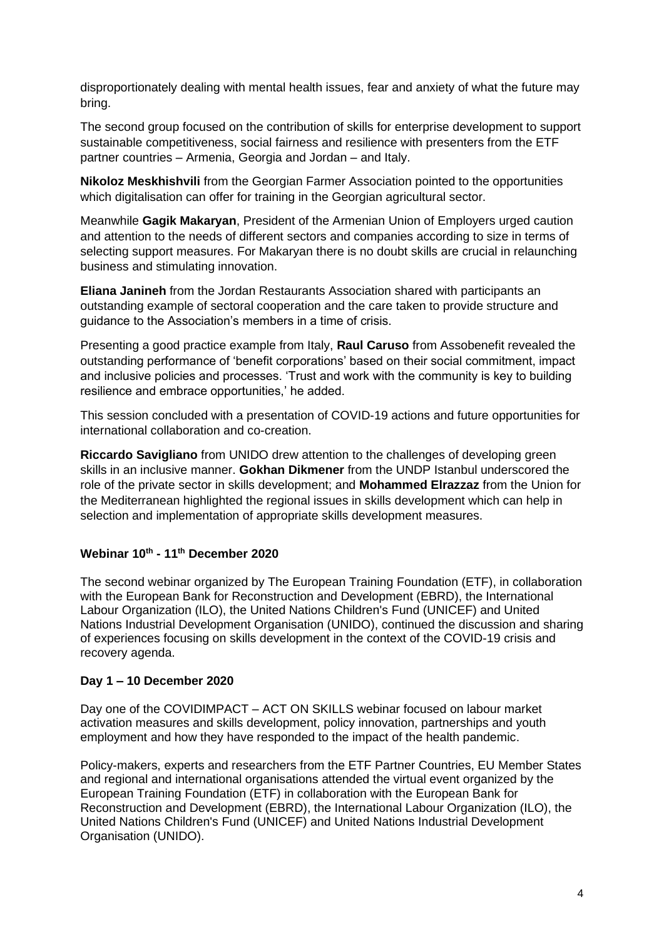disproportionately dealing with mental health issues, fear and anxiety of what the future may bring.

The second group focused on the contribution of skills for enterprise development to support sustainable competitiveness, social fairness and resilience with presenters from the ETF partner countries – Armenia, Georgia and Jordan – and Italy.

**Nikoloz Meskhishvili** from the Georgian Farmer Association pointed to the opportunities which digitalisation can offer for training in the Georgian agricultural sector.

Meanwhile **Gagik Makaryan**, President of the Armenian Union of Employers urged caution and attention to the needs of different sectors and companies according to size in terms of selecting support measures. For Makaryan there is no doubt skills are crucial in relaunching business and stimulating innovation.

**Eliana Janineh** from the Jordan Restaurants Association shared with participants an outstanding example of sectoral cooperation and the care taken to provide structure and guidance to the Association's members in a time of crisis.

Presenting a good practice example from Italy, **Raul Caruso** from Assobenefit revealed the outstanding performance of 'benefit corporations' based on their social commitment, impact and inclusive policies and processes. 'Trust and work with the community is key to building resilience and embrace opportunities,' he added.

This session concluded with a presentation of COVID-19 actions and future opportunities for international collaboration and co-creation.

**Riccardo Savigliano** from UNIDO drew attention to the challenges of developing green skills in an inclusive manner. **Gokhan Dikmener** from the UNDP Istanbul underscored the role of the private sector in skills development; and **Mohammed Elrazzaz** from the Union for the Mediterranean highlighted the regional issues in skills development which can help in selection and implementation of appropriate skills development measures.

### **Webinar 10th - 11th December 2020**

The second webinar organized by The European Training Foundation (ETF), in collaboration with the European Bank for Reconstruction and Development (EBRD), the International Labour Organization (ILO), the United Nations Children's Fund (UNICEF) and United Nations Industrial Development Organisation (UNIDO), continued the discussion and sharing of experiences focusing on skills development in the context of the COVID-19 crisis and recovery agenda.

#### **Day 1 – 10 December 2020**

Day one of the COVIDIMPACT – ACT ON SKILLS webinar focused on labour market activation measures and skills development, policy innovation, partnerships and youth employment and how they have responded to the impact of the health pandemic.

Policy-makers, experts and researchers from the ETF Partner Countries, EU Member States and regional and international organisations attended the virtual event organized by the European Training Foundation (ETF) in collaboration with the European Bank for Reconstruction and Development (EBRD), the International Labour Organization (ILO), the United Nations Children's Fund (UNICEF) and United Nations Industrial Development Organisation (UNIDO).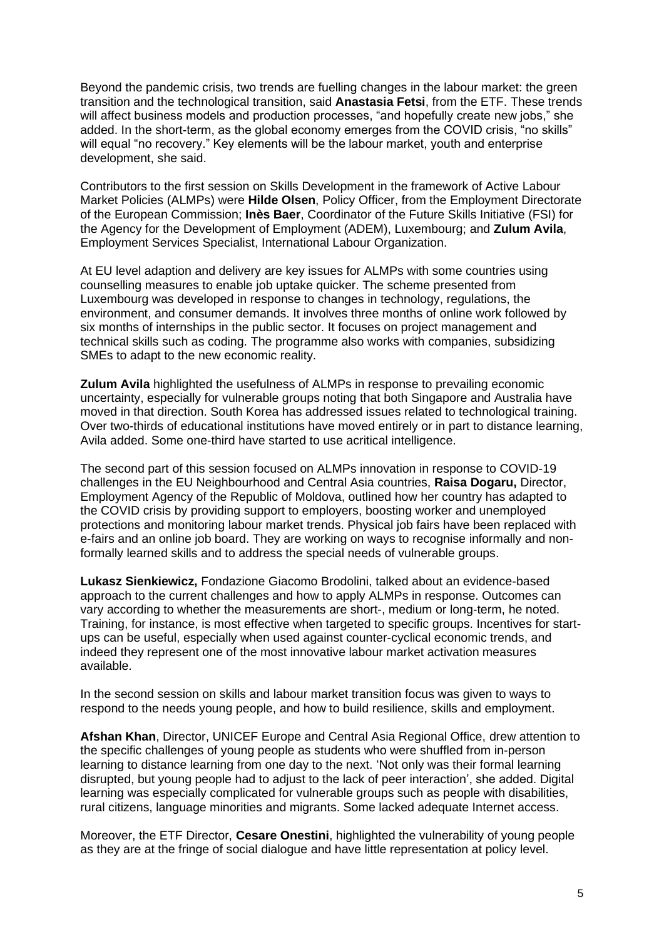Beyond the pandemic crisis, two trends are fuelling changes in the labour market: the green transition and the technological transition, said **Anastasia Fetsi**, from the ETF. These trends will affect business models and production processes, "and hopefully create new jobs," she added. In the short-term, as the global economy emerges from the COVID crisis, "no skills" will equal "no recovery." Key elements will be the labour market, youth and enterprise development, she said.

Contributors to the first session on Skills Development in the framework of Active Labour Market Policies (ALMPs) were **Hilde Olsen**, Policy Officer, from the Employment Directorate of the European Commission; **Inès Baer**, Coordinator of the Future Skills Initiative (FSI) for the Agency for the Development of Employment (ADEM), Luxembourg; and **Zulum Avila**, Employment Services Specialist, International Labour Organization.

At EU level adaption and delivery are key issues for ALMPs with some countries using counselling measures to enable job uptake quicker. The scheme presented from Luxembourg was developed in response to changes in technology, regulations, the environment, and consumer demands. It involves three months of online work followed by six months of internships in the public sector. It focuses on project management and technical skills such as coding. The programme also works with companies, subsidizing SMEs to adapt to the new economic reality.

**Zulum Avila** highlighted the usefulness of ALMPs in response to prevailing economic uncertainty, especially for vulnerable groups noting that both Singapore and Australia have moved in that direction. South Korea has addressed issues related to technological training. Over two-thirds of educational institutions have moved entirely or in part to distance learning, Avila added. Some one-third have started to use acritical intelligence.

The second part of this session focused on ALMPs innovation in response to COVID-19 challenges in the EU Neighbourhood and Central Asia countries, **Raisa Dogaru,** Director, Employment Agency of the Republic of Moldova, outlined how her country has adapted to the COVID crisis by providing support to employers, boosting worker and unemployed protections and monitoring labour market trends. Physical job fairs have been replaced with e-fairs and an online job board. They are working on ways to recognise informally and nonformally learned skills and to address the special needs of vulnerable groups.

**Lukasz Sienkiewicz,** Fondazione Giacomo Brodolini, talked about an evidence-based approach to the current challenges and how to apply ALMPs in response. Outcomes can vary according to whether the measurements are short-, medium or long-term, he noted. Training, for instance, is most effective when targeted to specific groups. Incentives for startups can be useful, especially when used against counter-cyclical economic trends, and indeed they represent one of the most innovative labour market activation measures available.

In the second session on skills and labour market transition focus was given to ways to respond to the needs young people, and how to build resilience, skills and employment.

**Afshan Khan**, Director, UNICEF Europe and Central Asia Regional Office, drew attention to the specific challenges of young people as students who were shuffled from in-person learning to distance learning from one day to the next. 'Not only was their formal learning disrupted, but young people had to adjust to the lack of peer interaction', she added. Digital learning was especially complicated for vulnerable groups such as people with disabilities, rural citizens, language minorities and migrants. Some lacked adequate Internet access.

Moreover, the ETF Director, **Cesare Onestini**, highlighted the vulnerability of young people as they are at the fringe of social dialogue and have little representation at policy level.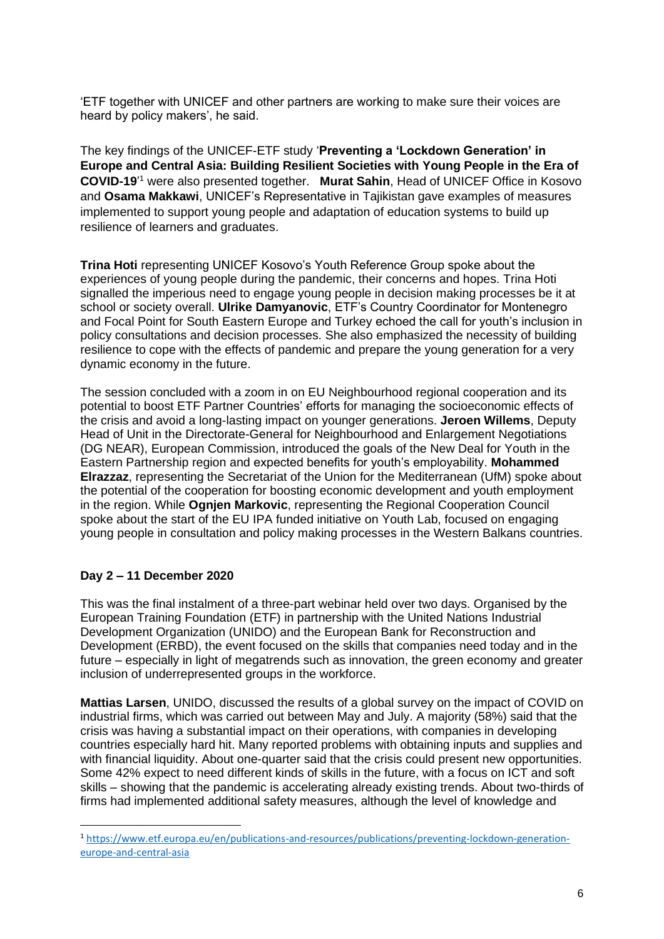'ETF together with UNICEF and other partners are working to make sure their voices are heard by policy makers', he said.

The key findings of the UNICEF-ETF study '**Preventing a 'Lockdown Generation' in Europe and Central Asia: Building Resilient Societies with Young People in the Era of COVID-19**' <sup>1</sup> were also presented together. **Murat Sahin**, Head of UNICEF Office in Kosovo and **Osama Makkawi**, UNICEF's Representative in Tajikistan gave examples of measures implemented to support young people and adaptation of education systems to build up resilience of learners and graduates.

**Trina Hoti** representing UNICEF Kosovo's Youth Reference Group spoke about the experiences of young people during the pandemic, their concerns and hopes. Trina Hoti signalled the imperious need to engage young people in decision making processes be it at school or society overall. **Ulrike Damyanovic**, ETF's Country Coordinator for Montenegro and Focal Point for South Eastern Europe and Turkey echoed the call for youth's inclusion in policy consultations and decision processes. She also emphasized the necessity of building resilience to cope with the effects of pandemic and prepare the young generation for a very dynamic economy in the future.

The session concluded with a zoom in on EU Neighbourhood regional cooperation and its potential to boost ETF Partner Countries' efforts for managing the socioeconomic effects of the crisis and avoid a long-lasting impact on younger generations. **Jeroen Willems**, Deputy Head of Unit in the Directorate-General for Neighbourhood and Enlargement Negotiations (DG NEAR), European Commission, introduced the goals of the New Deal for Youth in the Eastern Partnership region and expected benefits for youth's employability. **Mohammed Elrazzaz**, representing the Secretariat of the Union for the Mediterranean (UfM) spoke about the potential of the cooperation for boosting economic development and youth employment in the region. While **Ognjen Markovic**, representing the Regional Cooperation Council spoke about the start of the EU IPA funded initiative on Youth Lab, focused on engaging young people in consultation and policy making processes in the Western Balkans countries.

### **Day 2 – 11 December 2020**

This was the final instalment of a three-part webinar held over two days. Organised by the European Training Foundation (ETF) in partnership with the United Nations Industrial Development Organization (UNIDO) and the European Bank for Reconstruction and Development (ERBD), the event focused on the skills that companies need today and in the future – especially in light of megatrends such as innovation, the green economy and greater inclusion of underrepresented groups in the workforce.

**Mattias Larsen**, UNIDO, discussed the results of a global survey on the impact of COVID on industrial firms, which was carried out between May and July. A majority (58%) said that the crisis was having a substantial impact on their operations, with companies in developing countries especially hard hit. Many reported problems with obtaining inputs and supplies and with financial liquidity. About one-quarter said that the crisis could present new opportunities. Some 42% expect to need different kinds of skills in the future, with a focus on ICT and soft skills – showing that the pandemic is accelerating already existing trends. About two-thirds of firms had implemented additional safety measures, although the level of knowledge and

<sup>1</sup> [https://www.etf.europa.eu/en/publications-and-resources/publications/preventing-lockdown-generation](https://www.etf.europa.eu/en/publications-and-resources/publications/preventing-lockdown-generation-europe-and-central-asia)[europe-and-central-asia](https://www.etf.europa.eu/en/publications-and-resources/publications/preventing-lockdown-generation-europe-and-central-asia)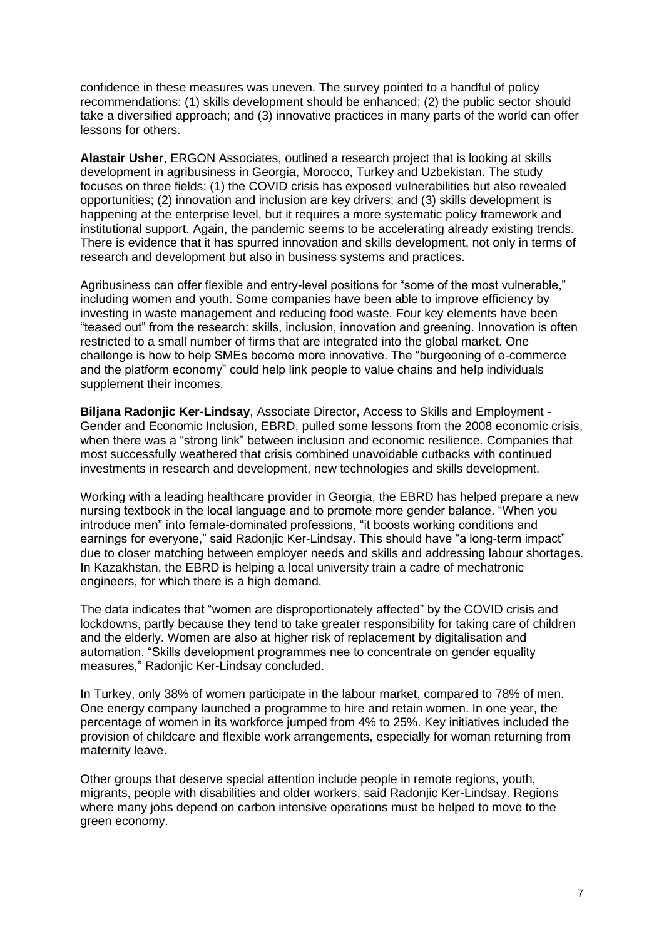confidence in these measures was uneven. The survey pointed to a handful of policy recommendations: (1) skills development should be enhanced; (2) the public sector should take a diversified approach; and (3) innovative practices in many parts of the world can offer lessons for others.

**Alastair Usher**, ERGON Associates, outlined a research project that is looking at skills development in agribusiness in Georgia, Morocco, Turkey and Uzbekistan. The study focuses on three fields: (1) the COVID crisis has exposed vulnerabilities but also revealed opportunities; (2) innovation and inclusion are key drivers; and (3) skills development is happening at the enterprise level, but it requires a more systematic policy framework and institutional support. Again, the pandemic seems to be accelerating already existing trends. There is evidence that it has spurred innovation and skills development, not only in terms of research and development but also in business systems and practices.

Agribusiness can offer flexible and entry-level positions for "some of the most vulnerable," including women and youth. Some companies have been able to improve efficiency by investing in waste management and reducing food waste. Four key elements have been "teased out" from the research: skills, inclusion, innovation and greening. Innovation is often restricted to a small number of firms that are integrated into the global market. One challenge is how to help SMEs become more innovative. The "burgeoning of e-commerce and the platform economy" could help link people to value chains and help individuals supplement their incomes.

**Biljana Radonjic Ker-Lindsay**, Associate Director, Access to Skills and Employment - Gender and Economic Inclusion, EBRD, pulled some lessons from the 2008 economic crisis, when there was a "strong link" between inclusion and economic resilience. Companies that most successfully weathered that crisis combined unavoidable cutbacks with continued investments in research and development, new technologies and skills development.

Working with a leading healthcare provider in Georgia, the EBRD has helped prepare a new nursing textbook in the local language and to promote more gender balance. "When you introduce men" into female-dominated professions, "it boosts working conditions and earnings for everyone," said Radonjic Ker-Lindsay. This should have "a long-term impact" due to closer matching between employer needs and skills and addressing labour shortages. In Kazakhstan, the EBRD is helping a local university train a cadre of mechatronic engineers, for which there is a high demand.

The data indicates that "women are disproportionately affected" by the COVID crisis and lockdowns, partly because they tend to take greater responsibility for taking care of children and the elderly. Women are also at higher risk of replacement by digitalisation and automation. "Skills development programmes nee to concentrate on gender equality measures," Radonjic Ker-Lindsay concluded.

In Turkey, only 38% of women participate in the labour market, compared to 78% of men. One energy company launched a programme to hire and retain women. In one year, the percentage of women in its workforce jumped from 4% to 25%. Key initiatives included the provision of childcare and flexible work arrangements, especially for woman returning from maternity leave.

Other groups that deserve special attention include people in remote regions, youth, migrants, people with disabilities and older workers, said Radonjic Ker-Lindsay. Regions where many jobs depend on carbon intensive operations must be helped to move to the green economy.